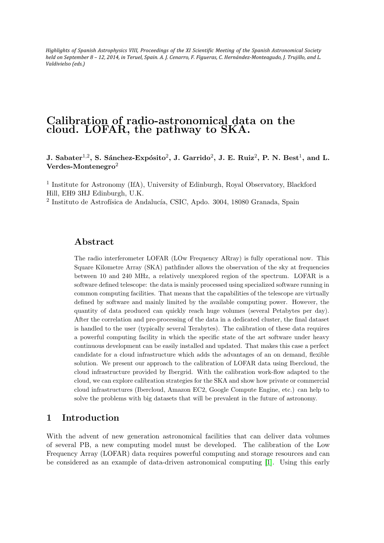Highlights of Spanish Astrophysics VIII, Proceedings of the XI Scientific Meeting of the Spanish Astronomical Society *held* on September 8 - 12, 2014, in Teruel, Spain. A. J. Cenarro, F. Figueras, C. Hernández-Monteagudo, J. Trujillo, and L. *Valdivielso (eds.)*

# Calibration of radio-astronomical data on the cloud. LOFAR, the pathway to SKA.

J. Sabater<sup>1,2</sup>, S. Sánchez-Expósito<sup>2</sup>, J. Garrido<sup>2</sup>, J. E. Ruiz<sup>2</sup>, P. N. Best<sup>1</sup>, and L. Verdes-Montenegro<sup>2</sup>

<sup>1</sup> Institute for Astronomy (IfA), University of Edinburgh, Royal Observatory, Blackford Hill, EH9 3HJ Edinburgh, U.K.

<sup>2</sup> Instituto de Astrofísica de Andalucía, CSIC, Apdo. 3004, 18080 Granada, Spain

### Abstract

The radio interferometer LOFAR (LOw Frequency ARray) is fully operational now. This Square Kilometre Array (SKA) pathfinder allows the observation of the sky at frequencies between 10 and 240 MHz, a relatively unexplored region of the spectrum. LOFAR is a software defined telescope: the data is mainly processed using specialized software running in common computing facilities. That means that the capabilities of the telescope are virtually defined by software and mainly limited by the available computing power. However, the quantity of data produced can quickly reach huge volumes (several Petabytes per day). After the correlation and pre-processing of the data in a dedicated cluster, the final dataset is handled to the user (typically several Terabytes). The calibration of these data requires a powerful computing facility in which the specific state of the art software under heavy continuous development can be easily installed and updated. That makes this case a perfect candidate for a cloud infrastructure which adds the advantages of an on demand, flexible solution. We present our approach to the calibration of LOFAR data using Ibercloud, the cloud infrastructure provided by Ibergrid. With the calibration work-flow adapted to the cloud, we can explore calibration strategies for the SKA and show how private or commercial cloud infrastructures (Ibercloud, Amazon EC2, Google Compute Engine, etc.) can help to solve the problems with big datasets that will be prevalent in the future of astronomy.

## 1 Introduction

With the advent of new generation astronomical facilities that can deliver data volumes of several PB, a new computing model must be developed. The calibration of the Low Frequency Array (LOFAR) data requires powerful computing and storage resources and can be considered as an example of data-driven astronomical computing [\[1\]](#page-3-0). Using this early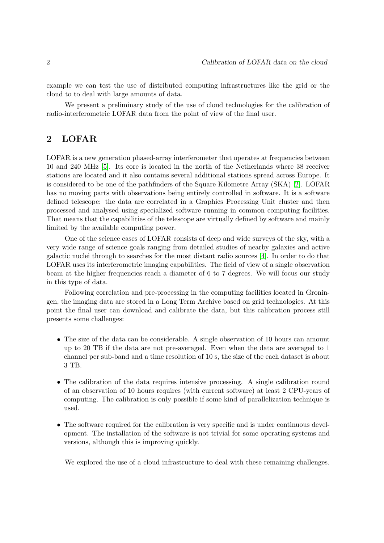example we can test the use of distributed computing infrastructures like the grid or the cloud to to deal with large amounts of data.

We present a preliminary study of the use of cloud technologies for the calibration of radio-interferometric LOFAR data from the point of view of the final user.

## 2 LOFAR

LOFAR is a new generation phased-array interferometer that operates at frequencies between 10 and 240 MHz [\[5\]](#page-3-1). Its core is located in the north of the Netherlands where 38 receiver stations are located and it also contains several additional stations spread across Europe. It is considered to be one of the pathfinders of the Square Kilometre Array (SKA) [\[2\]](#page-3-2). LOFAR has no moving parts with observations being entirely controlled in software. It is a software defined telescope: the data are correlated in a Graphics Processing Unit cluster and then processed and analysed using specialized software running in common computing facilities. That means that the capabilities of the telescope are virtually defined by software and mainly limited by the available computing power.

One of the science cases of LOFAR consists of deep and wide surveys of the sky, with a very wide range of science goals ranging from detailed studies of nearby galaxies and active galactic nuclei through to searches for the most distant radio sources [\[4\]](#page-3-3). In order to do that LOFAR uses its interferometric imaging capabilities. The field of view of a single observation beam at the higher frequencies reach a diameter of 6 to 7 degrees. We will focus our study in this type of data.

Following correlation and pre-processing in the computing facilities located in Groningen, the imaging data are stored in a Long Term Archive based on grid technologies. At this point the final user can download and calibrate the data, but this calibration process still presents some challenges:

- The size of the data can be considerable. A single observation of 10 hours can amount up to 20 TB if the data are not pre-averaged. Even when the data are averaged to 1 channel per sub-band and a time resolution of 10 s, the size of the each dataset is about 3 TB.
- The calibration of the data requires intensive processing. A single calibration round of an observation of 10 hours requires (with current software) at least 2 CPU-years of computing. The calibration is only possible if some kind of parallelization technique is used.
- The software required for the calibration is very specific and is under continuous development. The installation of the software is not trivial for some operating systems and versions, although this is improving quickly.

We explored the use of a cloud infrastructure to deal with these remaining challenges.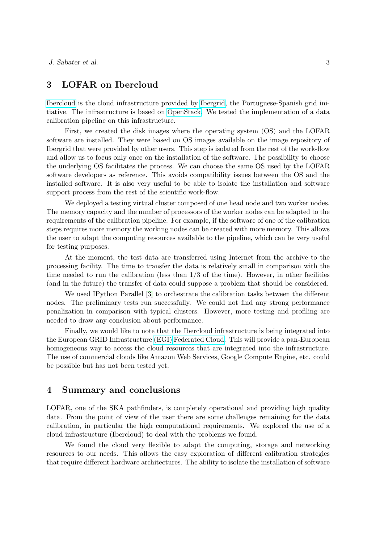## 3 LOFAR on Ibercloud

[Ibercloud](https://ibercloud.ifca.es/) is the cloud infrastructure provided by [Ibergrid,](http://ibergrid.lip.pt/) the Portuguese-Spanish grid initiative. The infrastructure is based on [OpenStack.](http://www.openstack.org/) We tested the implementation of a data calibration pipeline on this infrastructure.

First, we created the disk images where the operating system (OS) and the LOFAR software are installed. They were based on OS images available on the image repository of Ibergrid that were provided by other users. This step is isolated from the rest of the work-flow and allow us to focus only once on the installation of the software. The possibility to choose the underlying OS facilitates the process. We can choose the same OS used by the LOFAR software developers as reference. This avoids compatibility issues between the OS and the installed software. It is also very useful to be able to isolate the installation and software support process from the rest of the scientific work-flow.

We deployed a testing virtual cluster composed of one head node and two worker nodes. The memory capacity and the number of processors of the worker nodes can be adapted to the requirements of the calibration pipeline. For example, if the software of one of the calibration steps requires more memory the working nodes can be created with more memory. This allows the user to adapt the computing resources available to the pipeline, which can be very useful for testing purposes.

At the moment, the test data are transferred using Internet from the archive to the processing facility. The time to transfer the data is relatively small in comparison with the time needed to run the calibration (less than  $1/3$  of the time). However, in other facilities (and in the future) the transfer of data could suppose a problem that should be considered.

We used IPython Parallel [\[3\]](#page-3-4) to orchestrate the calibration tasks between the different nodes. The preliminary tests run successfully. We could not find any strong performance penalization in comparison with typical clusters. However, more testing and profiling are needed to draw any conclusion about performance.

Finally, we would like to note that the Ibercloud infrastructure is being integrated into the European GRID Infrastructure [\(EGI\)](https://www.egi.eu/) [Federated Cloud.](https://www.egi.eu/infrastructure/cloud/) This will provide a pan-European homogeneous way to access the cloud resources that are integrated into the infrastructure. The use of commercial clouds like Amazon Web Services, Google Compute Engine, etc. could be possible but has not been tested yet.

### 4 Summary and conclusions

LOFAR, one of the SKA pathfinders, is completely operational and providing high quality data. From the point of view of the user there are some challenges remaining for the data calibration, in particular the high computational requirements. We explored the use of a cloud infrastructure (Ibercloud) to deal with the problems we found.

We found the cloud very flexible to adapt the computing, storage and networking resources to our needs. This allows the easy exploration of different calibration strategies that require different hardware architectures. The ability to isolate the installation of software